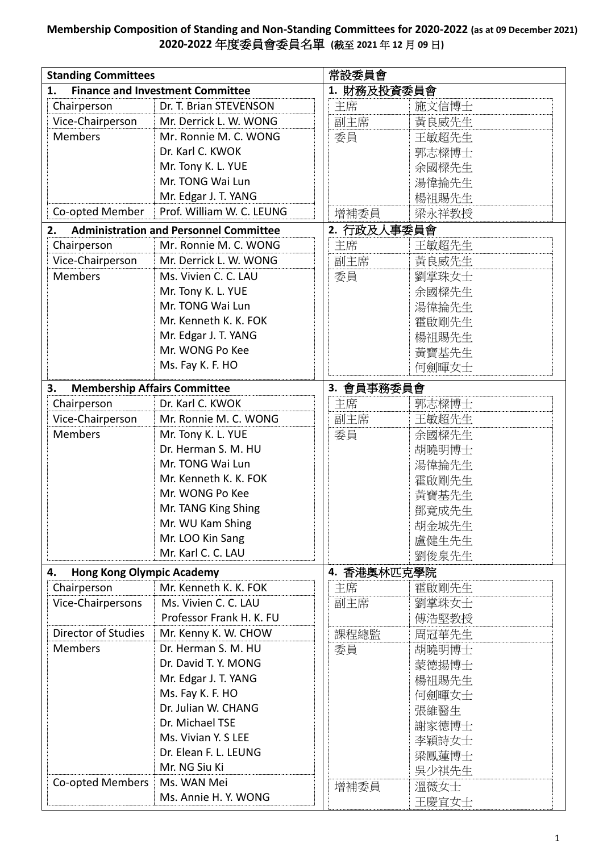## **Membership Composition of Standing and Non-Standing Committees for 2020-2022 (as at 09 December 2021) 2020-2022** 年度委員會委員名單 **(**截至 **2021** 年 **12** 月 **09** 日**)**

| <b>Standing Committees</b>                    |                                               | 常設委員會       |       |  |
|-----------------------------------------------|-----------------------------------------------|-------------|-------|--|
| <b>Finance and Investment Committee</b><br>1. |                                               | 1. 財務及投資委員會 |       |  |
| Chairperson                                   | Dr. T. Brian STEVENSON                        | 主席          | 施文信博士 |  |
| Vice-Chairperson                              | Mr. Derrick L. W. WONG                        | 副主席         | 黃良威先生 |  |
| <b>Members</b>                                | Mr. Ronnie M. C. WONG                         | 委員          | 王敏超先生 |  |
|                                               | Dr. Karl C. KWOK                              |             | 郭志樑博士 |  |
|                                               | Mr. Tony K. L. YUE                            |             | 余國樑先生 |  |
|                                               | Mr. TONG Wai Lun                              |             | 湯偉掄先生 |  |
|                                               | Mr. Edgar J. T. YANG                          |             | 楊祖賜先生 |  |
| Co-opted Member                               | Prof. William W. C. LEUNG                     | 增補委員        | 梁永祥教授 |  |
| 2.                                            | <b>Administration and Personnel Committee</b> | 2. 行政及人事委員會 |       |  |
| Chairperson                                   | Mr. Ronnie M. C. WONG                         | 主席          | 王敏超先生 |  |
| Vice-Chairperson                              | Mr. Derrick L. W. WONG                        | 副主席         | 黃良威先生 |  |
| <b>Members</b>                                | Ms. Vivien C. C. LAU                          | 委員          | 劉掌珠女士 |  |
|                                               | Mr. Tony K. L. YUE                            |             | 余國樑先生 |  |
|                                               | Mr. TONG Wai Lun                              |             | 湯偉掄先生 |  |
|                                               | Mr. Kenneth K. K. FOK                         |             | 霍啟剛先生 |  |
|                                               | Mr. Edgar J. T. YANG                          |             | 楊祖賜先生 |  |
|                                               | Mr. WONG Po Kee                               |             | 黃寶基先生 |  |
|                                               | Ms. Fay K. F. HO                              |             | 何劍暉女士 |  |
| <b>Membership Affairs Committee</b><br>3.     |                                               | 3. 會員事務委員會  |       |  |
| Chairperson                                   | Dr. Karl C. KWOK                              | 主席          | 郭志樑博士 |  |
| Vice-Chairperson                              | Mr. Ronnie M. C. WONG                         | 副主席         | 王敏超先生 |  |
| <b>Members</b>                                | Mr. Tony K. L. YUE                            | 委員          | 余國樑先生 |  |
|                                               | Dr. Herman S. M. HU                           |             | 胡曉明博士 |  |
|                                               | Mr. TONG Wai Lun                              |             | 湯律掄先生 |  |
|                                               | Mr. Kenneth K. K. FOK                         |             | 霍啟剛先生 |  |
|                                               | Mr. WONG Po Kee                               |             | 黃寶基先生 |  |
|                                               | Mr. TANG King Shing                           |             | 鄧竟成先生 |  |
|                                               | Mr. WU Kam Shing                              |             | 胡金城先生 |  |
|                                               | Mr. LOO Kin Sang                              |             | 盧健生先生 |  |
|                                               | Mr. Karl C. C. LAU                            |             | 劉俊泉先生 |  |
| <b>Hong Kong Olympic Academy</b>              |                                               | 4. 香港奥林匹克學院 |       |  |
| 4.<br>Chairperson                             | Mr. Kenneth K. K. FOK                         | 主席          | 霍啟剛先生 |  |
| Vice-Chairpersons                             | Ms. Vivien C. C. LAU                          | 副主席         | 劉掌珠女士 |  |
|                                               | Professor Frank H. K. FU                      |             | 傅浩堅教授 |  |
| Director of Studies                           | Mr. Kenny K. W. CHOW                          | 課程總監        | 周冠華先生 |  |
| <b>Members</b>                                | Dr. Herman S. M. HU                           | 委員          | 胡曉明博士 |  |
|                                               | Dr. David T. Y. MONG                          |             | 蒙德揚博士 |  |
|                                               | Mr. Edgar J. T. YANG                          |             | 楊祖賜先生 |  |
|                                               | Ms. Fay K. F. HO                              |             | 何劍暉女士 |  |
|                                               | Dr. Julian W. CHANG                           |             | 張維醫生  |  |
|                                               | Dr. Michael TSE                               |             | 謝家德博士 |  |
|                                               | Ms. Vivian Y. S LEE                           |             | 李穎詩女士 |  |
|                                               | Dr. Elean F. L. LEUNG                         |             | 梁鳳蓮博士 |  |
|                                               | Mr. NG Siu Ki                                 |             | 吳少祺先生 |  |
| Co-opted Members                              | Ms. WAN Mei                                   | 增補委員        | 溫薇女士  |  |
|                                               | Ms. Annie H. Y. WONG                          |             | 王慶宜女士 |  |
|                                               |                                               |             |       |  |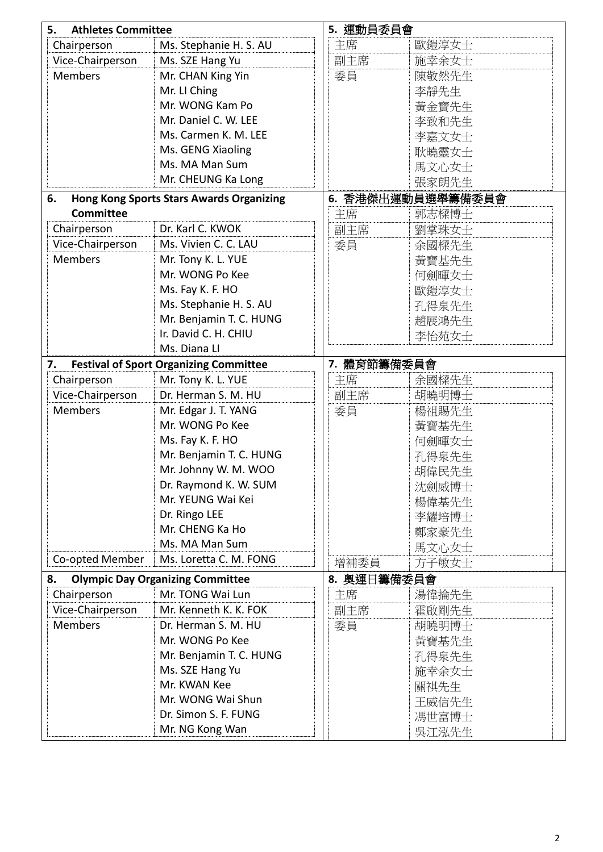| 5.<br><b>Athletes Committee</b>                       |                                               | 5. 運動員委員會         |       |  |
|-------------------------------------------------------|-----------------------------------------------|-------------------|-------|--|
| Chairperson                                           | Ms. Stephanie H. S. AU                        | 主席                | 歐鎧淳女士 |  |
| Vice-Chairperson                                      | Ms. SZE Hang Yu                               | 副主席               | 施幸余女士 |  |
| <b>Members</b>                                        | Mr. CHAN King Yin                             | 委員                | 陳敬然先生 |  |
|                                                       | Mr. LI Ching                                  |                   | 李靜先生  |  |
|                                                       | Mr. WONG Kam Po                               |                   | 黃金寶先生 |  |
|                                                       | Mr. Daniel C. W. LEE                          |                   | 李致和先生 |  |
|                                                       | Ms. Carmen K. M. LEE                          |                   | 李嘉文女士 |  |
|                                                       | Ms. GENG Xiaoling                             |                   | 耿曉靈女士 |  |
|                                                       | Ms. MA Man Sum                                |                   | 馬文心女士 |  |
|                                                       | Mr. CHEUNG Ka Long                            |                   | 張家朗先生 |  |
| <b>Hong Kong Sports Stars Awards Organizing</b><br>6. |                                               | 6. 香港傑出運動員選舉籌備委員會 |       |  |
| <b>Committee</b>                                      |                                               | 主席                | 郭志樑博士 |  |
| Chairperson                                           | Dr. Karl C. KWOK                              | 副主席               | 劉掌珠女士 |  |
| Vice-Chairperson                                      | Ms. Vivien C. C. LAU                          | 委員                | 余國樑先生 |  |
| <b>Members</b>                                        | Mr. Tony K. L. YUE                            |                   | 黃寶基先生 |  |
|                                                       | Mr. WONG Po Kee                               |                   | 何劍暉女士 |  |
|                                                       | Ms. Fay K. F. HO                              |                   | 歐鎧淳女士 |  |
|                                                       | Ms. Stephanie H. S. AU                        |                   | 孔得泉先生 |  |
|                                                       | Mr. Benjamin T. C. HUNG                       |                   | 趙展鴻先生 |  |
|                                                       | Ir. David C. H. CHIU                          |                   | 李怡苑女士 |  |
|                                                       | Ms. Diana LI                                  |                   |       |  |
| 7.                                                    | <b>Festival of Sport Organizing Committee</b> | 7. 體育節籌備委員會       |       |  |
| Chairperson                                           | Mr. Tony K. L. YUE                            | 主席                | 余國樑先生 |  |
| Vice-Chairperson                                      | Dr. Herman S. M. HU                           | 副主席               | 胡曉明博士 |  |
| <b>Members</b>                                        | Mr. Edgar J. T. YANG                          | 委員                | 楊祖賜先生 |  |
|                                                       | Mr. WONG Po Kee                               |                   | 黃寶基先生 |  |
|                                                       | Ms. Fay K. F. HO                              |                   | 何劍暉女士 |  |
|                                                       | Mr. Benjamin T. C. HUNG                       |                   | 孔得泉先生 |  |
|                                                       | Mr. Johnny W. M. WOO                          |                   | 胡偉民先生 |  |
|                                                       | Dr. Raymond K. W. SUM                         |                   | 沈劍威博士 |  |
|                                                       | Mr. YEUNG Wai Kei                             |                   | 楊偉基先生 |  |
|                                                       | Dr. Ringo LEE                                 |                   | 李耀培博士 |  |
|                                                       | Mr. CHENG Ka Ho                               |                   | 鄭家豪先生 |  |
|                                                       | Ms. MA Man Sum                                |                   | 馬文心女士 |  |
| Co-opted Member                                       | Ms. Loretta C. M. FONG                        | 增補委員              | 方子敏女士 |  |
| 8.                                                    | <b>Olympic Day Organizing Committee</b>       | 8. 奥運日籌備委員會       |       |  |
| Chairperson                                           | Mr. TONG Wai Lun                              | 主席                | 湯偉掄先生 |  |
|                                                       | Mr. Kenneth K. K. FOK                         |                   |       |  |
| Vice-Chairperson                                      |                                               | 副主席               | 霍啟剛先生 |  |
| <b>Members</b>                                        | Dr. Herman S. M. HU                           | 委員                | 胡曉明博士 |  |
|                                                       | Mr. WONG Po Kee                               |                   | 黃寶基先生 |  |
|                                                       | Mr. Benjamin T. C. HUNG                       |                   | 孔得泉先生 |  |
|                                                       | Ms. SZE Hang Yu                               |                   | 施幸余女士 |  |
|                                                       | Mr. KWAN Kee                                  |                   | 關祺先生  |  |
|                                                       | Mr. WONG Wai Shun                             |                   | 王威信先生 |  |
|                                                       | Dr. Simon S. F. FUNG                          |                   | 馮世富博士 |  |
|                                                       | Mr. NG Kong Wan                               |                   | 吳江泓先生 |  |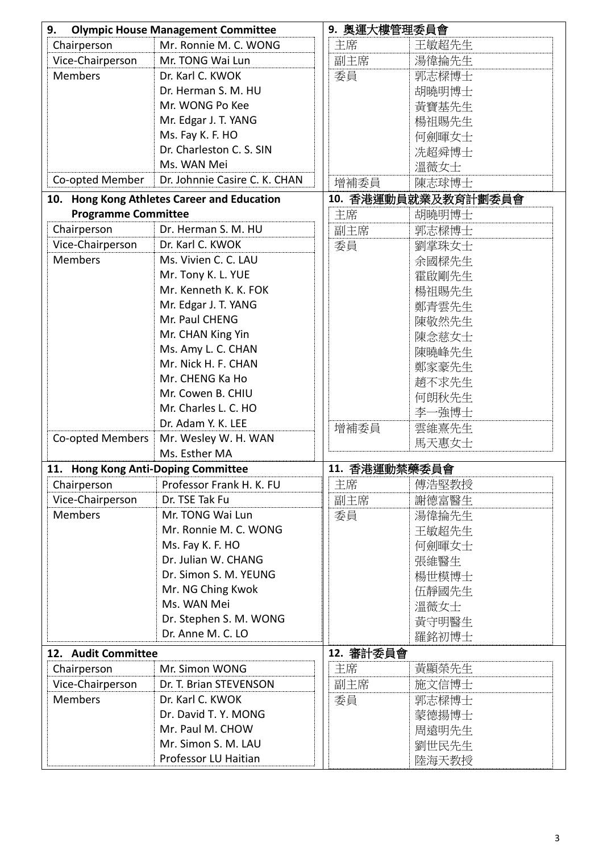| <b>Olympic House Management Committee</b><br>9. |                               | 9. 奥運大樓管理委員會 |                     |  |
|-------------------------------------------------|-------------------------------|--------------|---------------------|--|
| Chairperson                                     | Mr. Ronnie M. C. WONG         | 主席           | 王敏超先生               |  |
| Vice-Chairperson                                | Mr. TONG Wai Lun              | 副主席          | 湯偉掄先生               |  |
| <b>Members</b>                                  | Dr. Karl C. KWOK              | 委員           | 郭志樑博士               |  |
|                                                 | Dr. Herman S. M. HU           |              | 胡曉明博士               |  |
|                                                 | Mr. WONG Po Kee               |              | 黃寶基先生               |  |
|                                                 | Mr. Edgar J. T. YANG          |              | 楊祖賜先生               |  |
|                                                 | Ms. Fay K. F. HO              |              | 何劍暉女士               |  |
|                                                 | Dr. Charleston C. S. SIN      |              | 冼超舜博士               |  |
|                                                 | Ms. WAN Mei                   |              | 溫薇女士                |  |
| Co-opted Member                                 | Dr. Johnnie Casire C. K. CHAN | 增補委員         | 陳志球博士               |  |
| 10. Hong Kong Athletes Career and Education     |                               |              | 10. 香港運動員就業及教育計劃委員會 |  |
| <b>Programme Committee</b>                      |                               | 主席           | 胡曉明博士               |  |
| Chairperson                                     | Dr. Herman S. M. HU           | 副主席          | 郭志樑博士               |  |
| Vice-Chairperson                                | Dr. Karl C. KWOK              | 委員           | 劉掌珠女士               |  |
| <b>Members</b>                                  | Ms. Vivien C. C. LAU          |              | 余國樑先生               |  |
|                                                 | Mr. Tony K. L. YUE            |              | 霍啟剛先生               |  |
|                                                 | Mr. Kenneth K. K. FOK         |              | 楊祖賜先生               |  |
|                                                 | Mr. Edgar J. T. YANG          |              | 鄭青雲先生               |  |
|                                                 | Mr. Paul CHENG                |              | 陳敬然先生               |  |
|                                                 | Mr. CHAN King Yin             |              | 陳念慈女士               |  |
|                                                 | Ms. Amy L. C. CHAN            |              | 陳曉峰先生               |  |
|                                                 | Mr. Nick H. F. CHAN           |              | 鄭家豪先生               |  |
|                                                 | Mr. CHENG Ka Ho               |              | 趙不求先生               |  |
|                                                 | Mr. Cowen B. CHIU             |              | 何朗秋先生               |  |
|                                                 | Mr. Charles L. C. HO          |              | 李一強博士               |  |
|                                                 | Dr. Adam Y. K. LEE            | 增補委員         | 雲維熹先生               |  |
| Co-opted Members                                | Mr. Wesley W. H. WAN          |              | 馬天惠女士               |  |
|                                                 | Ms. Esther MA                 |              |                     |  |
| 11. Hong Kong Anti-Doping Committee             |                               |              | 11. 香港運動禁藥委員會       |  |
| Chairperson                                     | Professor Frank H. K. FU      | 主席           | 傅浩堅教授               |  |
| Vice-Chairperson                                | Dr. TSE Tak Fu                | 副主席          | 謝德富醫生               |  |
| <b>Members</b>                                  | Mr. TONG Wai Lun              | 委員           | 湯偉掄先生               |  |
|                                                 | Mr. Ronnie M. C. WONG         |              | 王敏超先生               |  |
|                                                 | Ms. Fay K. F. HO              |              | 何劍暉女士               |  |
|                                                 | Dr. Julian W. CHANG           |              | 張維醫生                |  |
|                                                 | Dr. Simon S. M. YEUNG         |              | 楊世模博士               |  |
|                                                 | Mr. NG Ching Kwok             |              | 伍靜國先生               |  |
|                                                 | Ms. WAN Mei                   |              | 溫薇女士                |  |
|                                                 | Dr. Stephen S. M. WONG        |              | 黃守明醫生               |  |
|                                                 | Dr. Anne M. C. LO             |              | 羅銘初博士               |  |
| 12. Audit Committee                             |                               | 12. 審計委員會    |                     |  |
| Chairperson                                     | Mr. Simon WONG                | 主席           | 黃顯榮先生               |  |
| Vice-Chairperson                                | Dr. T. Brian STEVENSON        | 副主席          | 施文信博士               |  |
| <b>Members</b>                                  | Dr. Karl C. KWOK              | 委員           | 郭志樑博士               |  |
|                                                 | Dr. David T. Y. MONG          |              | 蒙德揚博士               |  |
|                                                 | Mr. Paul M. CHOW              |              | 周遠明先生               |  |
|                                                 | Mr. Simon S. M. LAU           |              | 劉世民先生               |  |
|                                                 | Professor LU Haitian          |              | 陸海天教授               |  |